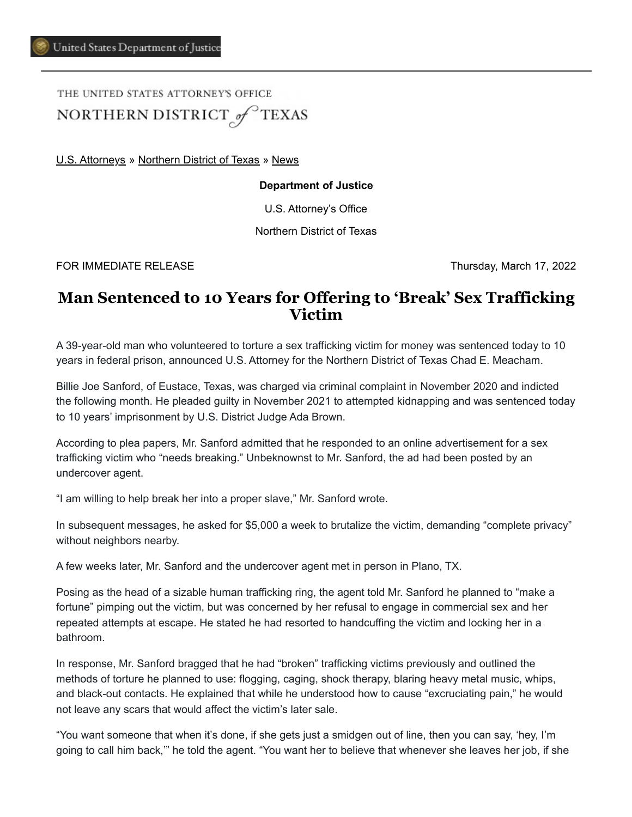THE UNITED STATES ATTORNEYS OFFICE NORTHERN DISTRICT of TEXAS

[U.S. Attorneys](https://www.justice.gov/usao) » [Northern District of Texas](https://www.justice.gov/usao-ndtx) » [News](https://www.justice.gov/usao-ndtx/pr)

## **Department of Justice**

U.S. Attorney's Office

Northern District of Texas

FOR IMMEDIATE RELEASE THE SECOND SERVICE SERVICE SERVICE SERVICES AND THURSDAY, March 17, 2022

## **Man Sentenced to 10 Years for Offering to 'Break' Sex Trafficking Victim**

A 39-year-old man who volunteered to torture a sex trafficking victim for money was sentenced today to 10 years in federal prison, announced U.S. Attorney for the Northern District of Texas Chad E. Meacham.

Billie Joe Sanford, of Eustace, Texas, was charged via criminal complaint in November 2020 and indicted the following month. He pleaded guilty in November 2021 to attempted kidnapping and was sentenced today to 10 years' imprisonment by U.S. District Judge Ada Brown.

According to plea papers, Mr. Sanford admitted that he responded to an online advertisement for a sex trafficking victim who "needs breaking." Unbeknownst to Mr. Sanford, the ad had been posted by an undercover agent.

"I am willing to help break her into a proper slave," Mr. Sanford wrote.

In subsequent messages, he asked for \$5,000 a week to brutalize the victim, demanding "complete privacy" without neighbors nearby.

A few weeks later, Mr. Sanford and the undercover agent met in person in Plano, TX.

Posing as the head of a sizable human trafficking ring, the agent told Mr. Sanford he planned to "make a fortune" pimping out the victim, but was concerned by her refusal to engage in commercial sex and her repeated attempts at escape. He stated he had resorted to handcuffing the victim and locking her in a bathroom.

In response, Mr. Sanford bragged that he had "broken" trafficking victims previously and outlined the methods of torture he planned to use: flogging, caging, shock therapy, blaring heavy metal music, whips, and black-out contacts. He explained that while he understood how to cause "excruciating pain," he would not leave any scars that would affect the victim's later sale.

"You want someone that when it's done, if she gets just a smidgen out of line, then you can say, 'hey, I'm going to call him back,'" he told the agent. "You want her to believe that whenever she leaves her job, if she